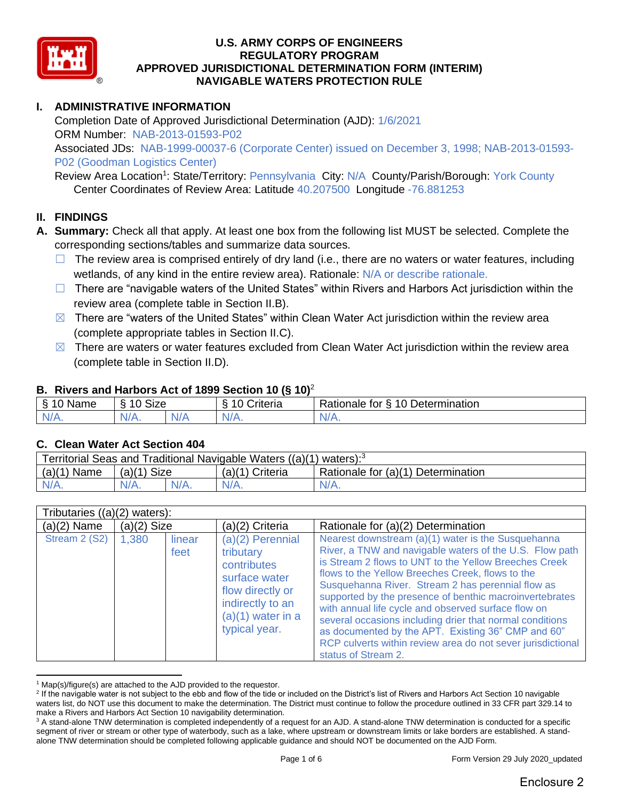

# **I. ADMINISTRATIVE INFORMATION**

Completion Date of Approved Jurisdictional Determination (AJD): 1/6/2021 ORM Number: NAB-2013-01593-P02 Associated JDs: NAB-1999-00037-6 (Corporate Center) issued on December 3, 1998; NAB-2013-01593- P02 (Goodman Logistics Center)

Review Area Location<sup>1</sup>: State/Territory: Pennsylvania City: N/A County/Parish/Borough: York County Center Coordinates of Review Area: Latitude 40.207500 Longitude -76.881253

### **II. FINDINGS**

- **A. Summary:** Check all that apply. At least one box from the following list MUST be selected. Complete the corresponding sections/tables and summarize data sources.
	- $\Box$  The review area is comprised entirely of dry land (i.e., there are no waters or water features, including wetlands, of any kind in the entire review area). Rationale: N/A or describe rationale.
	- □ There are "navigable waters of the United States" within Rivers and Harbors Act jurisdiction within the review area (complete table in Section II.B).
	- $\boxtimes$  There are "waters of the United States" within Clean Water Act jurisdiction within the review area (complete appropriate tables in Section II.C).
	- $\boxtimes$  There are waters or water features excluded from Clean Water Act jurisdiction within the review area (complete table in Section II.D).

### **B. Rivers and Harbors Act of 1899 Section 10 (§ 10)**<sup>2</sup>

| Name                | Size<br>∼ |           | Driteria | 10 Determination<br>Rationale<br>tor<br>↷ |
|---------------------|-----------|-----------|----------|-------------------------------------------|
| AM.<br>$\mathbf{v}$ | $N/A$ .   | 78 F<br>. | $N/A$ .  | N/A.                                      |

### **C. Clean Water Act Section 404**

| Territorial Seas and Traditional Navigable Waters $((a)(1)$ waters): <sup>3</sup> |               |  |                   |                                    |  |  |
|-----------------------------------------------------------------------------------|---------------|--|-------------------|------------------------------------|--|--|
| (a)(1)<br>Name                                                                    | $(a)(1)$ Size |  | $(a)(1)$ Criteria | Rationale for (a)(1) Determination |  |  |
|                                                                                   | $N/A$ .       |  |                   | $N/A$ .                            |  |  |

| Tributaries $((a)(2)$ waters): |               |                |                                                                                                                                                 |                                                                                                                                                                                                                                                                                                                                                                                                                                                                                                                                                                                                           |
|--------------------------------|---------------|----------------|-------------------------------------------------------------------------------------------------------------------------------------------------|-----------------------------------------------------------------------------------------------------------------------------------------------------------------------------------------------------------------------------------------------------------------------------------------------------------------------------------------------------------------------------------------------------------------------------------------------------------------------------------------------------------------------------------------------------------------------------------------------------------|
| $(a)(2)$ Name                  | $(a)(2)$ Size |                | (a)(2) Criteria                                                                                                                                 | Rationale for (a)(2) Determination                                                                                                                                                                                                                                                                                                                                                                                                                                                                                                                                                                        |
| Stream 2 (S2)                  | 1,380         | linear<br>feet | $(a)(2)$ Perennial<br>tributary<br>contributes<br>surface water<br>flow directly or<br>indirectly to an<br>$(a)(1)$ water in a<br>typical year. | Nearest downstream (a)(1) water is the Susquehanna<br>River, a TNW and navigable waters of the U.S. Flow path<br>is Stream 2 flows to UNT to the Yellow Breeches Creek<br>flows to the Yellow Breeches Creek, flows to the<br>Susquehanna River. Stream 2 has perennial flow as<br>supported by the presence of benthic macroinvertebrates<br>with annual life cycle and observed surface flow on<br>several occasions including drier that normal conditions<br>as documented by the APT. Existing 36" CMP and 60"<br>RCP culverts within review area do not sever jurisdictional<br>status of Stream 2. |

 $1$  Map(s)/figure(s) are attached to the AJD provided to the requestor.

<sup>&</sup>lt;sup>2</sup> If the navigable water is not subject to the ebb and flow of the tide or included on the District's list of Rivers and Harbors Act Section 10 navigable waters list, do NOT use this document to make the determination. The District must continue to follow the procedure outlined in 33 CFR part 329.14 to make a Rivers and Harbors Act Section 10 navigability determination.

<sup>&</sup>lt;sup>3</sup> A stand-alone TNW determination is completed independently of a request for an AJD. A stand-alone TNW determination is conducted for a specific segment of river or stream or other type of waterbody, such as a lake, where upstream or downstream limits or lake borders are established. A standalone TNW determination should be completed following applicable guidance and should NOT be documented on the AJD Form.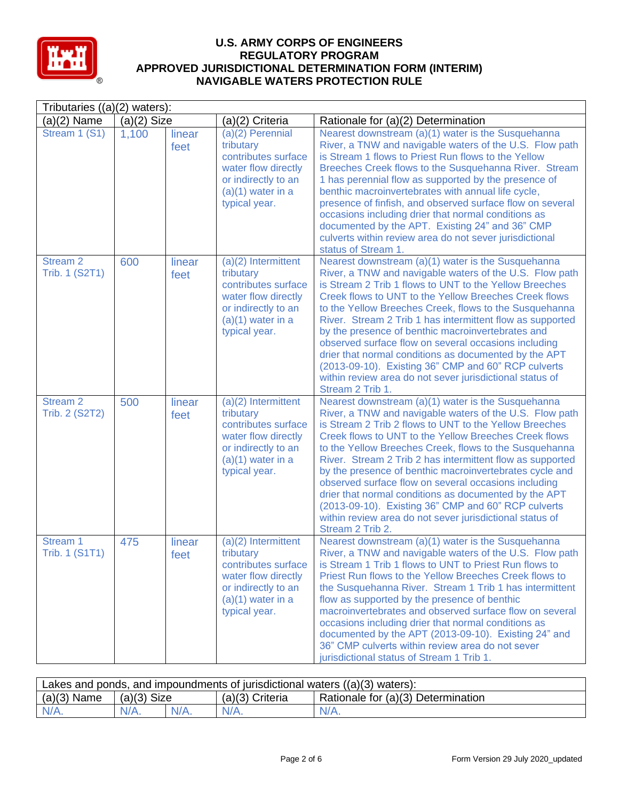

| Tributaries $((a)(2)$ waters):               |               |                |                                                                                                                                                 |                                                                                                                                                                                                                                                                                                                                                                                                                                                                                                                                                                                                                                                                            |  |  |
|----------------------------------------------|---------------|----------------|-------------------------------------------------------------------------------------------------------------------------------------------------|----------------------------------------------------------------------------------------------------------------------------------------------------------------------------------------------------------------------------------------------------------------------------------------------------------------------------------------------------------------------------------------------------------------------------------------------------------------------------------------------------------------------------------------------------------------------------------------------------------------------------------------------------------------------------|--|--|
| $(a)(2)$ Name                                | $(a)(2)$ Size |                | (a)(2) Criteria                                                                                                                                 | Rationale for (a)(2) Determination                                                                                                                                                                                                                                                                                                                                                                                                                                                                                                                                                                                                                                         |  |  |
| Stream 1 (S1)                                | 1,100         | linear<br>feet | $(a)(2)$ Perennial<br>tributary<br>contributes surface<br>water flow directly<br>or indirectly to an<br>$(a)(1)$ water in a<br>typical year.    | Nearest downstream (a)(1) water is the Susquehanna<br>River, a TNW and navigable waters of the U.S. Flow path<br>is Stream 1 flows to Priest Run flows to the Yellow<br>Breeches Creek flows to the Susquehanna River. Stream<br>1 has perennial flow as supported by the presence of<br>benthic macroinvertebrates with annual life cycle,<br>presence of finfish, and observed surface flow on several<br>occasions including drier that normal conditions as<br>documented by the APT. Existing 24" and 36" CMP<br>culverts within review area do not sever jurisdictional<br>status of Stream 1.                                                                       |  |  |
| <b>Stream 2</b><br>Trib. 1 (S2T1)            | 600           | linear<br>feet | $(a)(2)$ Intermittent<br>tributary<br>contributes surface<br>water flow directly<br>or indirectly to an<br>$(a)(1)$ water in a<br>typical year. | Nearest downstream (a)(1) water is the Susquehanna<br>River, a TNW and navigable waters of the U.S. Flow path<br>is Stream 2 Trib 1 flows to UNT to the Yellow Breeches<br>Creek flows to UNT to the Yellow Breeches Creek flows<br>to the Yellow Breeches Creek, flows to the Susquehanna<br>River. Stream 2 Trib 1 has intermittent flow as supported<br>by the presence of benthic macroinvertebrates and<br>observed surface flow on several occasions including<br>drier that normal conditions as documented by the APT<br>(2013-09-10). Existing 36" CMP and 60" RCP culverts<br>within review area do not sever jurisdictional status of<br>Stream 2 Trib 1.       |  |  |
| Stream <sub>2</sub><br><b>Trib. 2 (S2T2)</b> | 500           | linear<br>feet | $(a)(2)$ Intermittent<br>tributary<br>contributes surface<br>water flow directly<br>or indirectly to an<br>$(a)(1)$ water in a<br>typical year. | Nearest downstream (a)(1) water is the Susquehanna<br>River, a TNW and navigable waters of the U.S. Flow path<br>is Stream 2 Trib 2 flows to UNT to the Yellow Breeches<br>Creek flows to UNT to the Yellow Breeches Creek flows<br>to the Yellow Breeches Creek, flows to the Susquehanna<br>River. Stream 2 Trib 2 has intermittent flow as supported<br>by the presence of benthic macroinvertebrates cycle and<br>observed surface flow on several occasions including<br>drier that normal conditions as documented by the APT<br>(2013-09-10). Existing 36" CMP and 60" RCP culverts<br>within review area do not sever jurisdictional status of<br>Stream 2 Trib 2. |  |  |
| Stream 1<br>Trib. 1 (S1T1)                   | 475           | linear<br>feet | (a)(2) Intermittent<br>tributary<br>contributes surface<br>water flow directly<br>or indirectly to an<br>$(a)(1)$ water in a<br>typical year.   | Nearest downstream (a)(1) water is the Susquehanna<br>River, a TNW and navigable waters of the U.S. Flow path<br>is Stream 1 Trib 1 flows to UNT to Priest Run flows to<br>Priest Run flows to the Yellow Breeches Creek flows to<br>the Susquehanna River. Stream 1 Trib 1 has intermittent<br>flow as supported by the presence of benthic<br>macroinvertebrates and observed surface flow on several<br>occasions including drier that normal conditions as<br>documented by the APT (2013-09-10). Existing 24" and<br>36" CMP culverts within review area do not sever<br>jurisdictional status of Stream 1 Trib 1.                                                    |  |  |

| Lakes and ponds, and impoundments of jurisdictional waters $((a)(3)$ waters): |               |         |                   |                                    |  |  |
|-------------------------------------------------------------------------------|---------------|---------|-------------------|------------------------------------|--|--|
| $(a)(3)$ Name                                                                 | $(a)(3)$ Size |         | $(a)(3)$ Criteria | Rationale for (a)(3) Determination |  |  |
|                                                                               | $N/A$ .       | $N/A$ . | $N/A$ .           | $N/A$ .                            |  |  |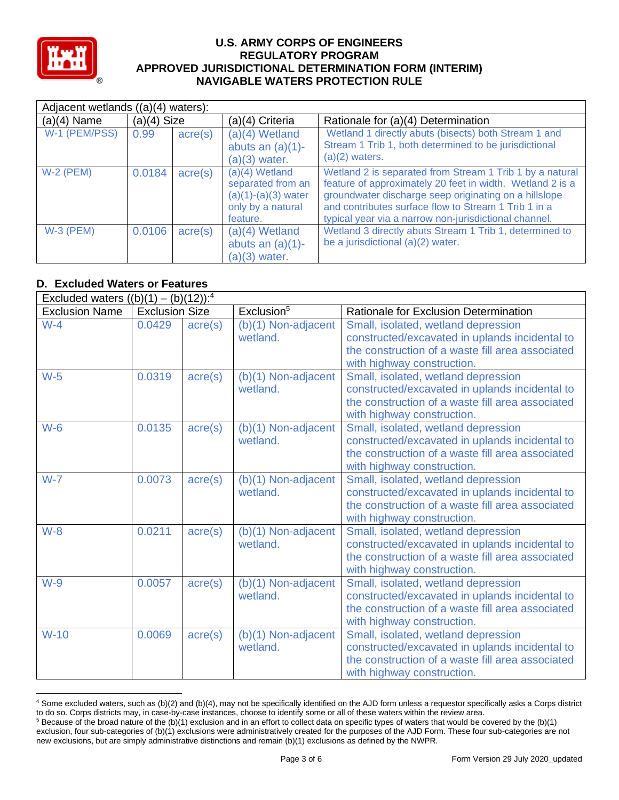

| Adjacent wetlands ((a)(4) waters): |               |                  |                                                                                                 |                                                                                                                                                                                                                                                                                                 |  |  |
|------------------------------------|---------------|------------------|-------------------------------------------------------------------------------------------------|-------------------------------------------------------------------------------------------------------------------------------------------------------------------------------------------------------------------------------------------------------------------------------------------------|--|--|
| $(a)(4)$ Name                      | $(a)(4)$ Size |                  | (a)(4) Criteria                                                                                 | Rationale for (a)(4) Determination                                                                                                                                                                                                                                                              |  |  |
| W-1 (PEM/PSS)                      | 0.99          | $\text{acre}(s)$ | (a)(4) Wetland<br>abuts an $(a)(1)$ -<br>$(a)(3)$ water.                                        | Wetland 1 directly abuts (bisects) both Stream 1 and<br>Stream 1 Trib 1, both determined to be jurisdictional<br>$(a)(2)$ waters.                                                                                                                                                               |  |  |
| $W-2$ (PEM)                        | 0.0184        | $\text{acre}(s)$ | $(a)(4)$ Wetland<br>separated from an<br>$(a)(1)-(a)(3)$ water<br>only by a natural<br>feature. | Wetland 2 is separated from Stream 1 Trib 1 by a natural<br>feature of approximately 20 feet in width. Wetland 2 is a<br>groundwater discharge seep originating on a hillslope<br>and contributes surface flow to Stream 1 Trib 1 in a<br>typical year via a narrow non-jurisdictional channel. |  |  |
| $W-3$ (PEM)                        | 0.0106        | $\text{acre}(s)$ | $(a)(4)$ Wetland<br>abuts an $(a)(1)$ -<br>$(a)(3)$ water.                                      | Wetland 3 directly abuts Stream 1 Trib 1, determined to<br>be a jurisdictional (a)(2) water.                                                                                                                                                                                                    |  |  |

## **D. Excluded Waters or Features**

| Excluded waters $((b)(1) - (b)(12))$ : <sup>4</sup> |                       |                  |                                   |                                                                                                                                                                         |  |  |
|-----------------------------------------------------|-----------------------|------------------|-----------------------------------|-------------------------------------------------------------------------------------------------------------------------------------------------------------------------|--|--|
| <b>Exclusion Name</b>                               | <b>Exclusion Size</b> |                  | Exclusion <sup>5</sup>            | Rationale for Exclusion Determination                                                                                                                                   |  |  |
| $W-4$                                               | 0.0429                | $\text{acre}(s)$ | (b)(1) Non-adjacent<br>wetland.   | Small, isolated, wetland depression<br>constructed/excavated in uplands incidental to<br>the construction of a waste fill area associated<br>with highway construction. |  |  |
| $W-5$                                               | 0.0319                | $\text{acre}(s)$ | (b)(1) Non-adjacent<br>wetland.   | Small, isolated, wetland depression<br>constructed/excavated in uplands incidental to<br>the construction of a waste fill area associated<br>with highway construction. |  |  |
| $W-6$                                               | 0.0135                | $\text{acre}(s)$ | (b)(1) Non-adjacent<br>wetland.   | Small, isolated, wetland depression<br>constructed/excavated in uplands incidental to<br>the construction of a waste fill area associated<br>with highway construction. |  |  |
| $W-7$                                               | 0.0073                | $\text{acre}(s)$ | (b)(1) Non-adjacent<br>wetland.   | Small, isolated, wetland depression<br>constructed/excavated in uplands incidental to<br>the construction of a waste fill area associated<br>with highway construction. |  |  |
| $W-8$                                               | 0.0211                | $\text{acre}(s)$ | $(b)(1)$ Non-adjacent<br>wetland. | Small, isolated, wetland depression<br>constructed/excavated in uplands incidental to<br>the construction of a waste fill area associated<br>with highway construction. |  |  |
| $W-9$                                               | 0.0057                | $\text{acre}(s)$ | (b)(1) Non-adjacent<br>wetland.   | Small, isolated, wetland depression<br>constructed/excavated in uplands incidental to<br>the construction of a waste fill area associated<br>with highway construction. |  |  |
| $W-10$                                              | 0.0069                | $\text{acre}(s)$ | (b)(1) Non-adjacent<br>wetland.   | Small, isolated, wetland depression<br>constructed/excavated in uplands incidental to<br>the construction of a waste fill area associated<br>with highway construction. |  |  |

<sup>4</sup> Some excluded waters, such as (b)(2) and (b)(4), may not be specifically identified on the AJD form unless a requestor specifically asks a Corps district to do so. Corps districts may, in case-by-case instances, choose to identify some or all of these waters within the review area.  $5$  Because of the broad nature of the (b)(1) exclusion and in an effort to collect data on specific types of waters that would be covered by the (b)(1)

exclusion, four sub-categories of (b)(1) exclusions were administratively created for the purposes of the AJD Form. These four sub-categories are not new exclusions, but are simply administrative distinctions and remain (b)(1) exclusions as defined by the NWPR.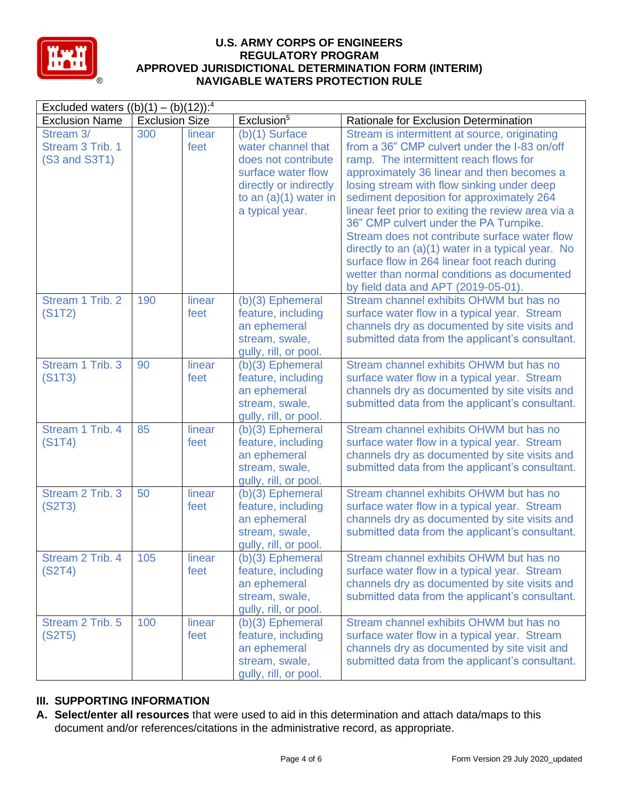

| Excluded waters $((b)(1) - (b)(12))$ : <sup>4</sup> |                       |                |                                                                                                                                                             |                                                                                                                                                                                                                                                                                                                                                                                                                                                                                                                                                                                                                              |  |  |
|-----------------------------------------------------|-----------------------|----------------|-------------------------------------------------------------------------------------------------------------------------------------------------------------|------------------------------------------------------------------------------------------------------------------------------------------------------------------------------------------------------------------------------------------------------------------------------------------------------------------------------------------------------------------------------------------------------------------------------------------------------------------------------------------------------------------------------------------------------------------------------------------------------------------------------|--|--|
| <b>Exclusion Name</b>                               | <b>Exclusion Size</b> |                | Exclusion <sup>5</sup>                                                                                                                                      | Rationale for Exclusion Determination                                                                                                                                                                                                                                                                                                                                                                                                                                                                                                                                                                                        |  |  |
| Stream 3/<br>Stream 3 Trib. 1<br>(S3 and S3T1)      | 300                   | linear<br>feet | $(b)(1)$ Surface<br>water channel that<br>does not contribute<br>surface water flow<br>directly or indirectly<br>to an $(a)(1)$ water in<br>a typical year. | Stream is intermittent at source, originating<br>from a 36" CMP culvert under the I-83 on/off<br>ramp. The intermittent reach flows for<br>approximately 36 linear and then becomes a<br>losing stream with flow sinking under deep<br>sediment deposition for approximately 264<br>linear feet prior to exiting the review area via a<br>36" CMP culvert under the PA Turnpike.<br>Stream does not contribute surface water flow<br>directly to an (a)(1) water in a typical year. No<br>surface flow in 264 linear foot reach during<br>wetter than normal conditions as documented<br>by field data and APT (2019-05-01). |  |  |
| Stream 1 Trib. 2<br>(S1T2)                          | 190                   | linear<br>feet | $(b)(3)$ Ephemeral<br>feature, including<br>an ephemeral<br>stream, swale,<br>gully, rill, or pool.                                                         | Stream channel exhibits OHWM but has no<br>surface water flow in a typical year. Stream<br>channels dry as documented by site visits and<br>submitted data from the applicant's consultant.                                                                                                                                                                                                                                                                                                                                                                                                                                  |  |  |
| Stream 1 Trib. 3<br>(S1T3)                          | 90                    | linear<br>feet | $(b)(3)$ Ephemeral<br>feature, including<br>an ephemeral<br>stream, swale,<br>gully, rill, or pool.                                                         | Stream channel exhibits OHWM but has no<br>surface water flow in a typical year. Stream<br>channels dry as documented by site visits and<br>submitted data from the applicant's consultant.                                                                                                                                                                                                                                                                                                                                                                                                                                  |  |  |
| Stream 1 Trib. 4<br>(S1T4)                          | 85                    | linear<br>feet | (b)(3) Ephemeral<br>feature, including<br>an ephemeral<br>stream, swale,<br>gully, rill, or pool.                                                           | Stream channel exhibits OHWM but has no<br>surface water flow in a typical year. Stream<br>channels dry as documented by site visits and<br>submitted data from the applicant's consultant.                                                                                                                                                                                                                                                                                                                                                                                                                                  |  |  |
| Stream 2 Trib. 3<br>(S2T3)                          | 50                    | linear<br>feet | $(b)(3)$ Ephemeral<br>feature, including<br>an ephemeral<br>stream, swale,<br>gully, rill, or pool.                                                         | Stream channel exhibits OHWM but has no<br>surface water flow in a typical year. Stream<br>channels dry as documented by site visits and<br>submitted data from the applicant's consultant.                                                                                                                                                                                                                                                                                                                                                                                                                                  |  |  |
| Stream 2 Trib. 4<br>(S2T4)                          | 105                   | linear<br>feet | $(b)(3)$ Ephemeral<br>feature, including<br>an ephemeral<br>stream, swale,<br>gully, rill, or pool.                                                         | Stream channel exhibits OHWM but has no<br>surface water flow in a typical year. Stream<br>channels dry as documented by site visits and<br>submitted data from the applicant's consultant.                                                                                                                                                                                                                                                                                                                                                                                                                                  |  |  |
| Stream 2 Trib. 5<br>(S2T5)                          | 100                   | linear<br>feet | $(b)(3)$ Ephemeral<br>feature, including<br>an ephemeral<br>stream, swale,<br>gully, rill, or pool.                                                         | Stream channel exhibits OHWM but has no<br>surface water flow in a typical year. Stream<br>channels dry as documented by site visit and<br>submitted data from the applicant's consultant.                                                                                                                                                                                                                                                                                                                                                                                                                                   |  |  |

# **III. SUPPORTING INFORMATION**

**A. Select/enter all resources** that were used to aid in this determination and attach data/maps to this document and/or references/citations in the administrative record, as appropriate.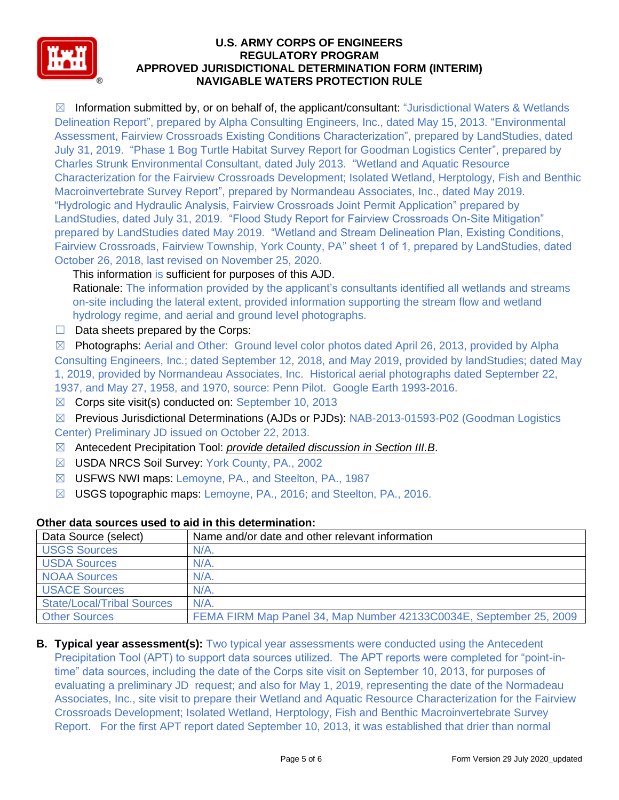

 $\boxtimes$  Information submitted by, or on behalf of, the applicant/consultant: "Jurisdictional Waters & Wetlands Delineation Report", prepared by Alpha Consulting Engineers, Inc., dated May 15, 2013. "Environmental Assessment, Fairview Crossroads Existing Conditions Characterization", prepared by LandStudies, dated July 31, 2019. "Phase 1 Bog Turtle Habitat Survey Report for Goodman Logistics Center", prepared by Charles Strunk Environmental Consultant, dated July 2013. "Wetland and Aquatic Resource Characterization for the Fairview Crossroads Development; Isolated Wetland, Herptology, Fish and Benthic Macroinvertebrate Survey Report", prepared by Normandeau Associates, Inc., dated May 2019. "Hydrologic and Hydraulic Analysis, Fairview Crossroads Joint Permit Application" prepared by LandStudies, dated July 31, 2019. "Flood Study Report for Fairview Crossroads On-Site Mitigation" prepared by LandStudies dated May 2019. "Wetland and Stream Delineation Plan, Existing Conditions, Fairview Crossroads, Fairview Township, York County, PA" sheet 1 of 1, prepared by LandStudies, dated October 26, 2018, last revised on November 25, 2020.

This information is sufficient for purposes of this AJD.

Rationale: The information provided by the applicant's consultants identified all wetlands and streams on-site including the lateral extent, provided information supporting the stream flow and wetland hydrology regime, and aerial and ground level photographs.

 $\Box$  Data sheets prepared by the Corps:

 $\boxtimes$  Photographs: Aerial and Other: Ground level color photos dated April 26, 2013, provided by Alpha Consulting Engineers, Inc.; dated September 12, 2018, and May 2019, provided by landStudies; dated May 1, 2019, provided by Normandeau Associates, Inc. Historical aerial photographs dated September 22, 1937, and May 27, 1958, and 1970, source: Penn Pilot. Google Earth 1993-2016.

- $\boxtimes$  Corps site visit(s) conducted on: September 10, 2013
- ☒ Previous Jurisdictional Determinations (AJDs or PJDs): NAB-2013-01593-P02 (Goodman Logistics Center) Preliminary JD issued on October 22, 2013.
- ☒ Antecedent Precipitation Tool: *provide detailed discussion in Section III.B*.
- ☒ USDA NRCS Soil Survey: York County, PA., 2002
- ☒ USFWS NWI maps: Lemoyne, PA., and Steelton, PA., 1987
- ☒ USGS topographic maps: Lemoyne, PA., 2016; and Steelton, PA., 2016.

| Data Source (select)              | Name and/or date and other relevant information                    |
|-----------------------------------|--------------------------------------------------------------------|
| <b>USGS Sources</b>               | $N/A$ .                                                            |
| <b>USDA Sources</b>               | $N/A$ .                                                            |
| <b>NOAA Sources</b>               | $N/A$ .                                                            |
| <b>USACE Sources</b>              | $N/A$ .                                                            |
| <b>State/Local/Tribal Sources</b> | N/A                                                                |
| <b>Other Sources</b>              | FEMA FIRM Map Panel 34, Map Number 42133C0034E, September 25, 2009 |

#### **Other data sources used to aid in this determination:**

**B. Typical year assessment(s):** Two typical year assessments were conducted using the Antecedent Precipitation Tool (APT) to support data sources utilized. The APT reports were completed for "point-intime" data sources, including the date of the Corps site visit on September 10, 2013, for purposes of evaluating a preliminary JD request; and also for May 1, 2019, representing the date of the Normadeau Associates, Inc., site visit to prepare their Wetland and Aquatic Resource Characterization for the Fairview Crossroads Development; Isolated Wetland, Herptology, Fish and Benthic Macroinvertebrate Survey Report. For the first APT report dated September 10, 2013, it was established that drier than normal